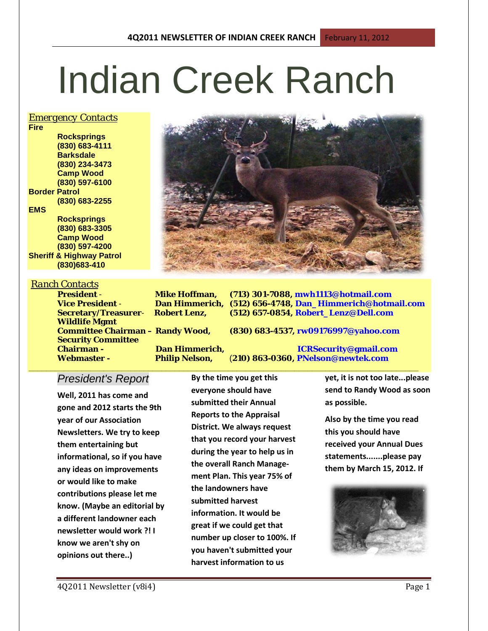# Indian Creek Ranch

## *Emergency Contacts*

**Fire Rocksprings (830) 683-4111 Barksdale (830) 234-3473 Camp Wood (830) 597-6100 Border Patrol (830) 683-2255 EMS Rocksprings (830) 683-3305 Camp Wood (830) 597-4200**

**Sheriff & Highway Patrol (830)683-410**

### *Ranch Contacts*

**Wildlife Mgmt Security Committee** 

**President** - **Mike Hoffman, (713) 301-7088, mwh1113@hotmail.com Vice President** - **Dan Himmerich, (512) 656-4748, Dan\_Himmerich@hotmail.com Secretary/Treasurer**- **Robert Lenz, (512) 657-0854, Robert\_Lenz@Dell.com**

**Committee Chairman – Randy Wood, (830) 683-4537, rw09176997@yahoo.com**

**\_\_\_\_\_\_\_\_\_\_\_\_\_\_\_\_\_\_\_\_\_\_\_\_\_\_\_\_\_\_\_\_\_\_\_\_\_\_\_\_\_\_\_\_\_\_\_\_\_\_\_\_\_\_\_\_\_\_\_\_\_\_\_\_\_\_\_\_\_\_\_\_\_\_\_\_\_\_\_\_\_\_\_\_\_\_\_\_**

**Chairman - Dan Himmerich, ICRSecurity@gmail.com Webmaster - Philip Nelson,** (**210) 863-0360, PNelson@newtek.com**

## *President's Report*

**Well, 2011 has come and gone and 2012 starts the 9th year of our Association Newsletters. We try to keep them entertaining but informational, so if you have any ideas on improvements or would like to make contributions please let me know. (Maybe an editorial by a different landowner each newsletter would work ?! I know we aren't shy on opinions out there..)**

**By the time you get this everyone should have submitted their Annual Reports to the Appraisal District. We always request that you record your harvest during the year to help us in the overall Ranch Management Plan. This year 75% of the landowners have submitted harvest information. It would be great if we could get that number up closer to 100%. If you haven't submitted your harvest information to us** 

**yet, it is not too late...please send to Randy Wood as soon as possible.** 

**Also by the time you read this you should have received your Annual Dues statements.......please pay them by March 15, 2012. If** 

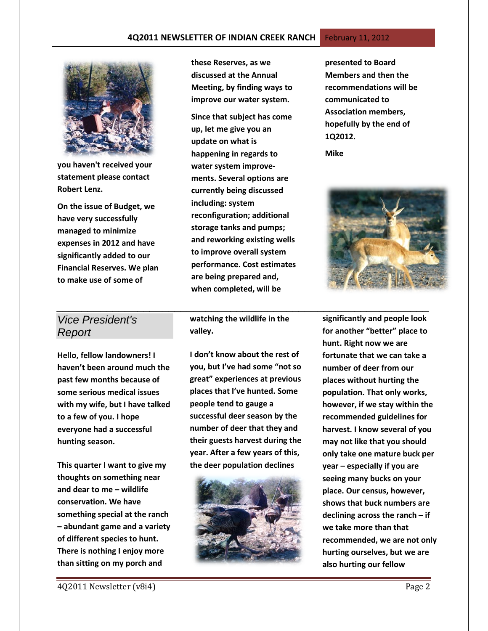

**you haven't received your statement please contact Robert Lenz.**

**On the issue of Budget, we have very successfully managed to minimize expenses in 2012 and have significantly added to our Financial Reserves. We plan to make use of some of** 

**these Reserves, as we discussed at the Annual Meeting, by finding ways to improve our water system.**

**Since that subject has come up, let me give you an update on what is happening in regards to water system improvements. Several options are currently being discussed including: system reconfiguration; additional storage tanks and pumps; and reworking existing wells to improve overall system performance. Cost estimates are being prepared and, when completed, will be** 

*Vice President's Report*

**Hello, fellow landowners! I haven't been around much the past few months because of some serious medical issues with my wife, but I have talked to a few of you. I hope everyone had a successful hunting season.** 

**This quarter I want to give my thoughts on something near and dear to me – wildlife conservation. We have something special at the ranch – abundant game and a variety of different species to hunt. There is nothing I enjoy more than sitting on my porch and** 

**watching the wildlife in the valley.** 

**I don't know about the rest of you, but I've had some "not so great" experiences at previous places that I've hunted. Some people tend to gauge a successful deer season by the number of deer that they and their guests harvest during the year. After a few years of this, the deer population declines** 



**presented to Board Members and then the recommendations will be communicated to Association members, hopefully by the end of 1Q2012.** 

**Mike**



*\_\_\_\_\_\_\_\_\_\_\_\_\_\_\_\_\_\_\_\_\_\_\_\_\_\_\_\_\_\_\_\_\_\_\_\_\_\_\_\_\_\_\_\_\_\_\_\_\_\_\_\_\_\_\_\_\_\_\_\_* **significantly and people look for another "better" place to hunt. Right now we are fortunate that we can take a number of deer from our places without hurting the population. That only works, however, if we stay within the recommended guidelines for harvest. I know several of you may not like that you should only take one mature buck per year – especially if you are seeing many bucks on your place. Our census, however, shows that buck numbers are declining across the ranch – if we take more than that recommended, we are not only hurting ourselves, but we are also hurting our fellow**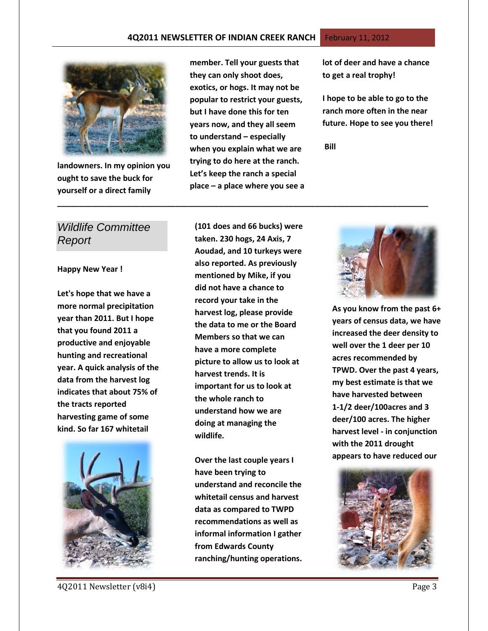#### **4Q2011 NEWSLETTER OF INDIAN CREEK RANCH February 11, 2012**



**landowners. In my opinion you ought to save the buck for yourself or a direct family** 

**member. Tell your guests that they can only shoot does, exotics, or hogs. It may not be popular to restrict your guests, but I have done this for ten years now, and they all seem to understand – especially when you explain what we are trying to do here at the ranch. Let's keep the ranch a special place – a place where you see a** 

**\_\_\_\_\_\_\_\_\_\_\_\_\_\_\_\_\_\_\_\_\_\_\_\_\_\_\_\_\_\_\_\_\_\_\_\_\_\_\_\_\_\_\_\_\_\_\_\_\_\_\_\_\_\_\_\_\_\_\_\_\_\_\_\_\_\_\_\_\_\_\_\_\_\_\_\_\_\_\_\_\_\_\_\_\_**

**lot of deer and have a chance to get a real trophy!** 

**I hope to be able to go to the ranch more often in the near future. Hope to see you there!** 

**Bill**

## *Wildlife Committee Report*

#### **Happy New Year !**

**Let's hope that we have a more normal precipitation year than 2011. But I hope that you found 2011 a productive and enjoyable hunting and recreational year. A quick analysis of the data from the harvest log indicates that about 75% of the tracts reported harvesting game of some kind. So far 167 whitetail** 



**(101 does and 66 bucks) were taken. 230 hogs, 24 Axis, 7 Aoudad, and 10 turkeys were also reported. As previously mentioned by Mike, if you did not have a chance to record your take in the harvest log, please provide the data to me or the Board Members so that we can have a more complete picture to allow us to look at harvest trends. It is important for us to look at the whole ranch to understand how we are doing at managing the wildlife.**

**Over the last couple years I have been trying to understand and reconcile the whitetail census and harvest data as compared to TWPD recommendations as well as informal information I gather from Edwards County ranching/hunting operations.** 



**As you know from the past 6+ years of census data, we have increased the deer density to well over the 1 deer per 10 acres recommended by TPWD. Over the past 4 years, my best estimate is that we have harvested between 1-1/2 deer/100acres and 3 deer/100 acres. The higher harvest level - in conjunction with the 2011 drought appears to have reduced our** 

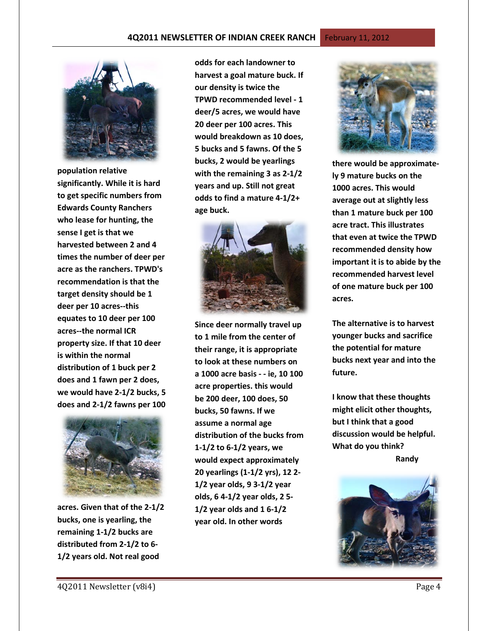

**population relative significantly. While it is hard to get specific numbers from Edwards County Ranchers who lease for hunting, the sense I get is that we harvested between 2 and 4 times the number of deer per acre as the ranchers. TPWD's recommendation is that the target density should be 1 deer per 10 acres--this equates to 10 deer per 100 acres--the normal ICR property size. If that 10 deer is within the normal distribution of 1 buck per 2 does and 1 fawn per 2 does, we would have 2-1/2 bucks, 5 does and 2-1/2 fawns per 100** 



**acres. Given that of the 2-1/2 bucks, one is yearling, the remaining 1-1/2 bucks are distributed from 2-1/2 to 6- 1/2 years old. Not real good** 

**odds for each landowner to harvest a goal mature buck. If our density is twice the TPWD recommended level - 1 deer/5 acres, we would have 20 deer per 100 acres. This would breakdown as 10 does, 5 bucks and 5 fawns. Of the 5 bucks, 2 would be yearlings with the remaining 3 as 2-1/2 years and up. Still not great odds to find a mature 4-1/2+ age buck.**



**Since deer normally travel up to 1 mile from the center of their range, it is appropriate to look at these numbers on a 1000 acre basis - - ie, 10 100 acre properties. this would be 200 deer, 100 does, 50 bucks, 50 fawns. If we assume a normal age distribution of the bucks from 1-1/2 to 6-1/2 years, we would expect approximately 20 yearlings (1-1/2 yrs), 12 2- 1/2 year olds, 9 3-1/2 year olds, 6 4-1/2 year olds, 2 5- 1/2 year olds and 1 6-1/2 year old. In other words** 



**there would be approximately 9 mature bucks on the 1000 acres. This would average out at slightly less than 1 mature buck per 100 acre tract. This illustrates that even at twice the TPWD recommended density how important it is to abide by the recommended harvest level of one mature buck per 100 acres.** 

**The alternative is to harvest younger bucks and sacrifice the potential for mature bucks next year and into the future.**

**I know that these thoughts might elicit other thoughts, but I think that a good discussion would be helpful. What do you think? Randy**

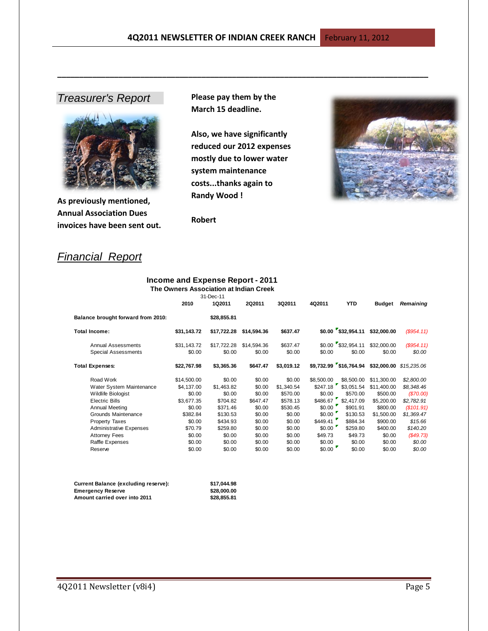# *Treasurer's Report*



**As previously mentioned, Annual Association Dues invoices have been sent out.**  **Please pay them by the March 15 deadline.**

**\_\_\_\_\_\_\_\_\_\_\_\_\_\_\_\_\_\_\_\_\_\_\_\_\_\_\_\_\_\_\_\_\_\_\_\_\_\_\_\_\_\_\_\_\_\_\_\_\_\_\_\_\_\_\_\_\_\_\_\_\_\_\_\_\_\_\_\_\_\_\_\_\_\_\_\_\_\_\_\_\_\_\_\_\_**

**Also, we have significantly reduced our 2012 expenses mostly due to lower water system maintenance costs...thanks again to Randy Wood !**



# **Robert**

## *Financial Report*

#### **Income and Expense Report - 2011**

**The Owners Association at Indian Creek** 31-Dec-11

|                                                                                                                                                                                                                                                | 2010                                                                                                                       | 1Q2011                                                                                                                   | 2Q2011                                                                                                       | 3Q2011                                                                                                               | 4Q2011                                                                                                                | YTD                                                                                                                               | <b>Budget</b>                                                                                                                        | Remaining                                                                                                                                |
|------------------------------------------------------------------------------------------------------------------------------------------------------------------------------------------------------------------------------------------------|----------------------------------------------------------------------------------------------------------------------------|--------------------------------------------------------------------------------------------------------------------------|--------------------------------------------------------------------------------------------------------------|----------------------------------------------------------------------------------------------------------------------|-----------------------------------------------------------------------------------------------------------------------|-----------------------------------------------------------------------------------------------------------------------------------|--------------------------------------------------------------------------------------------------------------------------------------|------------------------------------------------------------------------------------------------------------------------------------------|
| Balance brought forward from 2010:                                                                                                                                                                                                             |                                                                                                                            | \$28,855.81                                                                                                              |                                                                                                              |                                                                                                                      |                                                                                                                       |                                                                                                                                   |                                                                                                                                      |                                                                                                                                          |
| <b>Total Income:</b>                                                                                                                                                                                                                           | \$31,143.72                                                                                                                | \$17,722.28                                                                                                              | \$14,594.36                                                                                                  | \$637.47                                                                                                             |                                                                                                                       | $$0.00$ $$32,954.11$                                                                                                              | \$32,000.00                                                                                                                          | (\$954.11)                                                                                                                               |
| Annual Assessments<br><b>Special Assessments</b>                                                                                                                                                                                               | \$31,143.72<br>\$0.00                                                                                                      | \$17,722.28<br>\$0.00                                                                                                    | \$14,594.36<br>\$0.00                                                                                        | \$637.47<br>\$0.00                                                                                                   | \$0.00                                                                                                                | $$0.00$ $$32,954.11$<br>\$0.00                                                                                                    | \$32,000.00<br>\$0.00                                                                                                                | (\$954.11)<br>\$0.00                                                                                                                     |
| <b>Total Expenses:</b>                                                                                                                                                                                                                         | \$22,767.98                                                                                                                | \$3,365.36                                                                                                               | \$647.47                                                                                                     | \$3,019.12                                                                                                           |                                                                                                                       |                                                                                                                                   | $$9,732.99$ $$16,764.94$ $$32,000.00$ $$15,235.06$                                                                                   |                                                                                                                                          |
| Road Work<br>Water System Maintenance<br>Wildlife Biologist<br><b>Electric Bills</b><br>Annual Meeting<br>Grounds Maintenance<br><b>Property Taxes</b><br><b>Administrative Expenses</b><br><b>Attorney Fees</b><br>Raffle Expenses<br>Reserve | \$14,500.00<br>\$4,137.00<br>\$0.00<br>\$3,677.35<br>\$0.00<br>\$382.84<br>\$0.00<br>\$70.79<br>\$0.00<br>\$0.00<br>\$0.00 | \$0.00<br>\$1,463.82<br>\$0.00<br>\$704.82<br>\$371.46<br>\$130.53<br>\$434.93<br>\$259.80<br>\$0.00<br>\$0.00<br>\$0.00 | \$0.00<br>\$0.00<br>\$0.00<br>\$647.47<br>\$0.00<br>\$0.00<br>\$0.00<br>\$0.00<br>\$0.00<br>\$0.00<br>\$0.00 | \$0.00<br>\$1,340.54<br>\$570.00<br>\$578.13<br>\$530.45<br>\$0.00<br>\$0.00<br>\$0.00<br>\$0.00<br>\$0.00<br>\$0.00 | \$8,500.00<br>\$247.18<br>\$0.00<br>\$486.67<br>\$0.00<br>\$0.00<br>\$449.41<br>\$0.00<br>\$49.73<br>\$0.00<br>\$0.00 | \$8,500.00<br>\$3,051.54<br>\$570.00<br>\$2,417.09<br>\$901.91<br>\$130.53<br>\$884.34<br>\$259.80<br>\$49.73<br>\$0.00<br>\$0.00 | \$11,300.00<br>\$11,400.00<br>\$500.00<br>\$5,200.00<br>\$800.00<br>\$1,500.00<br>\$900.00<br>\$400.00<br>\$0.00<br>\$0.00<br>\$0.00 | \$2,800.00<br>\$8,348.46<br>$(\$70.00)$<br>\$2,782.91<br>(S101.91)<br>\$1,369.47<br>\$15.66<br>\$140.20<br>(\$49.73)<br>\$0.00<br>\$0.00 |

| Current Balance (excluding reserve): | \$17.044.98 |  |  |
|--------------------------------------|-------------|--|--|
| <b>Emergency Reserve</b>             | \$28,000.00 |  |  |
| Amount carried over into 2011        | \$28,855.81 |  |  |